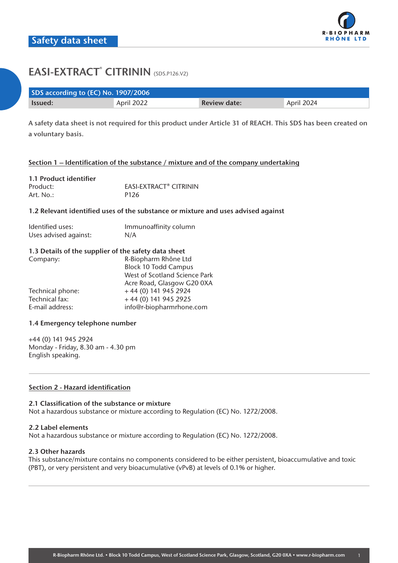

| SDS according to (EC) No. 1907/2006 |            |                     |            |  |
|-------------------------------------|------------|---------------------|------------|--|
| <b>Issued:</b>                      | April 2022 | <b>Review date:</b> | April 2024 |  |

**A safety data sheet is not required for this product under Article 31 of REACH. This SDS has been created on a voluntary basis.**

# **Section 1 – Identification of the substance / mixture and of the company undertaking**

| 1.1 Product identifier |                                          |
|------------------------|------------------------------------------|
| Product:               | <b>FASI-FXTRACT<sup>®</sup> CITRININ</b> |
| Art. No.:              | P <sub>126</sub>                         |

## **1.2 Relevant identified uses of the substance or mixture and uses advised against**

| Identified uses:      | Immunoaffinity column |
|-----------------------|-----------------------|
| Uses advised against: | N/A                   |

## **1.3 Details of the supplier of the safety data sheet**

| Company:         | R-Biopharm Rhône Ltd          |
|------------------|-------------------------------|
|                  | <b>Block 10 Todd Campus</b>   |
|                  | West of Scotland Science Park |
|                  | Acre Road, Glasgow G20 0XA    |
| Technical phone: | $+44(0)$ 141 945 2924         |
| Technical fax:   | $+44(0)$ 141 945 2925         |
| E-mail address:  | info@r-biopharmrhone.com      |

# **1.4 Emergency telephone number**

+44 (0) 141 945 2924 Monday - Friday, 8.30 am - 4.30 pm English speaking.

# **Section 2 - Hazard identification**

#### **2.1 Classification of the substance or mixture**

Not a hazardous substance or mixture according to Regulation (EC) No. 1272/2008.

#### **2.2 Label elements**

Not a hazardous substance or mixture according to Regulation (EC) No. 1272/2008.

#### **2.3 Other hazards**

This substance/mixture contains no components considered to be either persistent, bioaccumulative and toxic (PBT), or very persistent and very bioacumulative (vPvB) at levels of 0.1% or higher.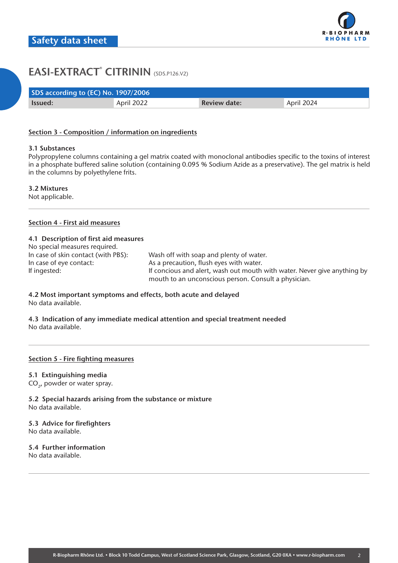| SDS according to (EC) No. 1907/2006 |            |                     |            |  |
|-------------------------------------|------------|---------------------|------------|--|
| Issued:                             | April 2022 | <b>Review date:</b> | April 2024 |  |

## **Section 3 - Composition / information on ingredients**

#### **3.1 Substances**

Polypropylene columns containing a gel matrix coated with monoclonal antibodies specific to the toxins of interest in a phosphate buffered saline solution (containing 0.095 % Sodium Azide as a preservative). The gel matrix is held in the columns by polyethylene frits.

**3.2 Mixtures**

Not applicable.

## **Section 4 - First aid measures**

## **4.1 Description of first aid measures**

| No special measures required.       |                                                                          |
|-------------------------------------|--------------------------------------------------------------------------|
| In case of skin contact (with PBS): | Wash off with soap and plenty of water.                                  |
| In case of eye contact:             | As a precaution, flush eyes with water.                                  |
| If ingested:                        | If concious and alert, wash out mouth with water. Never give anything by |
|                                     | mouth to an unconscious person. Consult a physician.                     |

## **4.2 Most important symptoms and effects, both acute and delayed** No data available.

**4.3 Indication of any immediate medical attention and special treatment needed** No data available.

#### **Section 5 - Fire fighting measures**

#### **5.1 Extinguishing media**

CO<sub>2</sub>, powder or water spray.

**5.2 Special hazards arising from the substance or mixture** No data available.

# **5.3 Advice for firefighters**

No data available.

# **5.4 Further information**

No data available.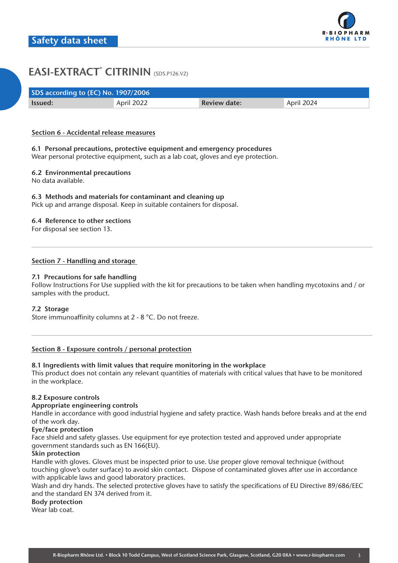| SDS according to (EC) No. 1907/2006 |            |                     |            |  |
|-------------------------------------|------------|---------------------|------------|--|
| <b>Issued:</b>                      | April 2022 | <b>Review date:</b> | April 2024 |  |

## **Section 6 - Accidental release measures**

# **6.1 Personal precautions, protective equipment and emergency procedures**

Wear personal protective equipment, such as a lab coat, gloves and eye protection.

# **6.2 Environmental precautions**

No data available.

## **6.3 Methods and materials for contaminant and cleaning up**

Pick up and arrange disposal. Keep in suitable containers for disposal.

## **6.4 Reference to other sections**

For disposal see section 13.

## **Section 7 - Handling and storage**

## **7.1 Precautions for safe handling**

Follow Instructions For Use supplied with the kit for precautions to be taken when handling mycotoxins and / or samples with the product.

#### **7.2 Storage**

Store immunoaffinity columns at 2 - 8 °C. Do not freeze.

#### **Section 8 - Exposure controls / personal protection**

#### **8.1 Ingredients with limit values that require monitoring in the workplace**

This product does not contain any relevant quantities of materials with critical values that have to be monitored in the workplace.

#### **8.2 Exposure controls**

#### **Appropriate engineering controls**

Handle in accordance with good industrial hygiene and safety practice. Wash hands before breaks and at the end of the work day.

# **Eye/face protection**

Face shield and safety glasses. Use equipment for eye protection tested and approved under appropriate government standards such as EN 166(EU).

# **Skin protection**

Handle with gloves. Gloves must be inspected prior to use. Use proper glove removal technique (without touching glove's outer surface) to avoid skin contact. Dispose of contaminated gloves after use in accordance with applicable laws and good laboratory practices.

Wash and dry hands. The selected protective gloves have to satisfy the specifications of EU Directive 89/686/EEC and the standard EN 374 derived from it.

## **Body protection**

Wear lab coat.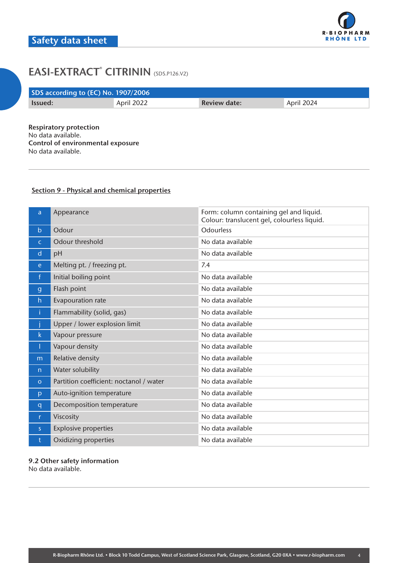| SDS according to (EC) No. 1907/2006 |            |                     |            |  |
|-------------------------------------|------------|---------------------|------------|--|
| Issued:                             | April 2022 | <b>Review date:</b> | April 2024 |  |
|                                     |            |                     |            |  |

**Respiratory protection** No data available. **Control of environmental exposure** No data available.

# **Section 9 - Physical and chemical properties**

| a            | Appearance                              | Form: column containing gel and liquid.<br>Colour: translucent gel, colourless liquid. |
|--------------|-----------------------------------------|----------------------------------------------------------------------------------------|
| $\mathsf{b}$ | Odour                                   | <b>Odourless</b>                                                                       |
| $\mathsf{C}$ | Odour threshold                         | No data available                                                                      |
| d            | pH                                      | No data available                                                                      |
| e.           | Melting pt. / freezing pt.              | 7.4                                                                                    |
| $\mathsf{f}$ | Initial boiling point                   | No data available                                                                      |
| $\mathbf{g}$ | Flash point                             | No data available                                                                      |
| h            | Evapouration rate                       | No data available                                                                      |
| î.           | Flammability (solid, gas)               | No data available                                                                      |
|              | Upper / lower explosion limit           | No data available                                                                      |
| k.           | Vapour pressure                         | No data available                                                                      |
| Т            | Vapour density                          | No data available                                                                      |
| m            | Relative density                        | No data available                                                                      |
| n            | Water solubility                        | No data available                                                                      |
| $\circ$      | Partition coefficient: noctanol / water | No data available                                                                      |
| p            | Auto-ignition temperature               | No data available                                                                      |
| q            | Decomposition temperature               | No data available                                                                      |
| r.           | Viscosity                               | No data available                                                                      |
| S.           | <b>Explosive properties</b>             | No data available                                                                      |
|              | Oxidizing properties                    | No data available                                                                      |

**9.2 Other safety information** No data available.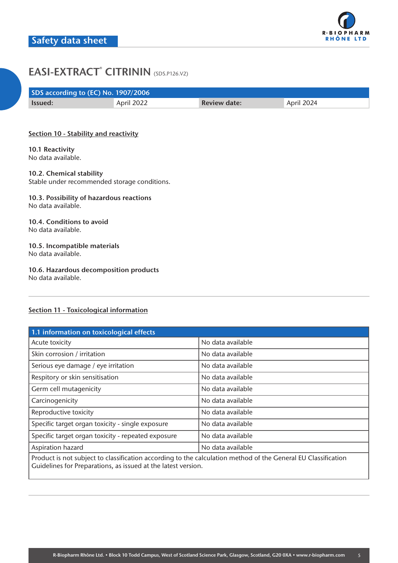| SDS according to (EC) No. 1907/2006 |            |                     |            |
|-------------------------------------|------------|---------------------|------------|
| <b>Issued:</b>                      | April 2022 | <b>Review date:</b> | April 2024 |

# **Section 10 - Stability and reactivity**

**10.1 Reactivity** No data available.

# **10.2. Chemical stability**

Stable under recommended storage conditions.

#### **10.3. Possibility of hazardous reactions** No data available.

## **10.4. Conditions to avoid** No data available.

## **10.5. Incompatible materials** No data available.

# **10.6. Hazardous decomposition products**

No data available.

# **Section 11 - Toxicological information**

| 1.1 information on toxicological effects                                                                                                                                       |                   |  |  |
|--------------------------------------------------------------------------------------------------------------------------------------------------------------------------------|-------------------|--|--|
| Acute toxicity                                                                                                                                                                 | No data available |  |  |
| Skin corrosion / irritation                                                                                                                                                    | No data available |  |  |
| Serious eye damage / eye irritation                                                                                                                                            | No data available |  |  |
| Respitory or skin sensitisation                                                                                                                                                | No data available |  |  |
| Germ cell mutagenicity                                                                                                                                                         | No data available |  |  |
| Carcinogenicity                                                                                                                                                                | No data available |  |  |
| Reproductive toxicity                                                                                                                                                          | No data available |  |  |
| Specific target organ toxicity - single exposure                                                                                                                               | No data available |  |  |
| Specific target organ toxicity - repeated exposure                                                                                                                             | No data available |  |  |
| Aspiration hazard                                                                                                                                                              | No data available |  |  |
| Product is not subject to classification according to the calculation method of the General EU Classification<br>Guidelines for Preparations, as issued at the latest version. |                   |  |  |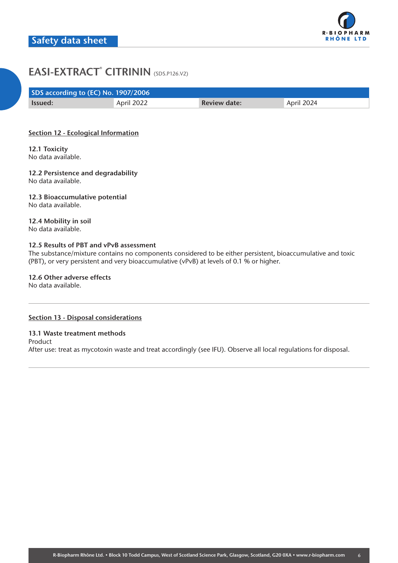| SDS according to (EC) No. 1907/2006 |            |                     |            |  |
|-------------------------------------|------------|---------------------|------------|--|
| <b>Issued:</b>                      | April 2022 | <b>Review date:</b> | April 2024 |  |

# **Section 12 - Ecological Information**

**12.1 Toxicity** No data available.

**12.2 Persistence and degradability** No data available.

**12.3 Bioaccumulative potential** No data available.

**12.4 Mobility in soil** No data available.

# **12.5 Results of PBT and vPvB assessment**

The substance/mixture contains no components considered to be either persistent, bioaccumulative and toxic (PBT), or very persistent and very bioaccumulative (vPvB) at levels of 0.1 % or higher.

**12.6 Other adverse effects** No data available.

# **Section 13 - Disposal considerations**

# **13.1 Waste treatment methods**

Product After use: treat as mycotoxin waste and treat accordingly (see IFU). Observe all local regulations for disposal.